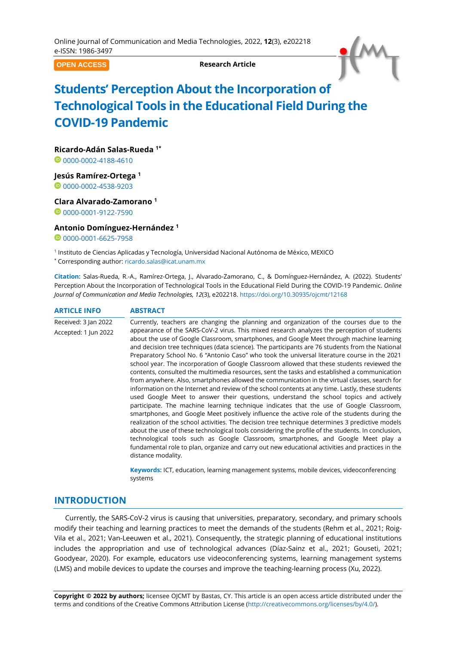**OPEN ACCESS**

**Research Article**



# **Students' Perception About the Incorporation of Technological Tools in the Educational Field During the COVID-19 Pandemic**

**Ricardo-Adán Salas-Rueda 1\***

0000002-4188-4610

**Jesús Ramírez-Ortega <sup>1</sup>**

<sup>0</sup>[0000-0002-4538-9203](https://orcid.org/0000-0002-4538-9203)

**Clara Alvarado-Zamorano <sup>1</sup>**

00000001-9122-7590

# **Antonio Domínguez-Hernández <sup>1</sup>**

<sup>0</sup>[0000-0001-6625-7958](https://orcid.org/0000-0001-6625-7958)

- 1 Instituto de Ciencias Aplicadas y Tecnología, Universidad Nacional Autónoma de México, MEXICO
- \* Corresponding author: [ricardo.salas@icat.unam.mx](mailto:ricardo.salas@icat.unam.mx)

**Citation:** Salas-Rueda, R.-A., Ramírez-Ortega, J., Alvarado-Zamorano, C., & Domínguez-Hernández, A. (2022). Students' Perception About the Incorporation of Technological Tools in the Educational Field During the COVID-19 Pandemic. *Online Journal of Communication and Media Technologies, 12*(3), e202218. <https://doi.org/10.30935/ojcmt/12168>

| <b>ARTICLE INFO</b>  | <b>ABSTRACT</b>                                                                                                                                                                                                                                                                                                                                                                                                                                                                                                                                                                                                                                                                                                                                                                                                                                                                                                                                                                                                                                                                                                                                                                                                                                                                                                                                                                                                                                                                                              |
|----------------------|--------------------------------------------------------------------------------------------------------------------------------------------------------------------------------------------------------------------------------------------------------------------------------------------------------------------------------------------------------------------------------------------------------------------------------------------------------------------------------------------------------------------------------------------------------------------------------------------------------------------------------------------------------------------------------------------------------------------------------------------------------------------------------------------------------------------------------------------------------------------------------------------------------------------------------------------------------------------------------------------------------------------------------------------------------------------------------------------------------------------------------------------------------------------------------------------------------------------------------------------------------------------------------------------------------------------------------------------------------------------------------------------------------------------------------------------------------------------------------------------------------------|
| Received: 3 Jan 2022 | Currently, teachers are changing the planning and organization of the courses due to the                                                                                                                                                                                                                                                                                                                                                                                                                                                                                                                                                                                                                                                                                                                                                                                                                                                                                                                                                                                                                                                                                                                                                                                                                                                                                                                                                                                                                     |
| Accepted: 1 Jun 2022 | appearance of the SARS-CoV-2 virus. This mixed research analyzes the perception of students<br>about the use of Google Classroom, smartphones, and Google Meet through machine learning<br>and decision tree techniques (data science). The participants are 76 students from the National<br>Preparatory School No. 6 "Antonio Caso" who took the universal literature course in the 2021<br>school year. The incorporation of Google Classroom allowed that these students reviewed the<br>contents, consulted the multimedia resources, sent the tasks and established a communication<br>from anywhere. Also, smartphones allowed the communication in the virtual classes, search for<br>information on the Internet and review of the school contents at any time. Lastly, these students<br>used Google Meet to answer their questions, understand the school topics and actively<br>participate. The machine learning technique indicates that the use of Google Classroom,<br>smartphones, and Google Meet positively influence the active role of the students during the<br>realization of the school activities. The decision tree technique determines 3 predictive models<br>about the use of these technological tools considering the profile of the students. In conclusion,<br>technological tools such as Google Classroom, smartphones, and Google Meet play a<br>fundamental role to plan, organize and carry out new educational activities and practices in the<br>distance modality. |
|                      | Marania alam MT - ali saatsia Haadista araa saaraa saaraa saaraa oo ah tha dardaa ah dalaa saa fadaa daga                                                                                                                                                                                                                                                                                                                                                                                                                                                                                                                                                                                                                                                                                                                                                                                                                                                                                                                                                                                                                                                                                                                                                                                                                                                                                                                                                                                                    |

**Keywords:** ICT, education, learning management systems, mobile devices, videoconferencing systems

# **INTRODUCTION**

Currently, the SARS-CoV-2 virus is causing that universities, preparatory, secondary, and primary schools modify their teaching and learning practices to meet the demands of the students (Rehm et al., 2021; Roig-Vila et al., 2021; Van-Leeuwen et al., 2021). Consequently, the strategic planning of educational institutions includes the appropriation and use of technological advances (Díaz-Sainz et al., 2021; Gouseti, 2021; Goodyear, 2020). For example, educators use videoconferencing systems, learning management systems (LMS) and mobile devices to update the courses and improve the teaching-learning process (Xu, 2022).

**Copyright © 2022 by authors;** licensee OJCMT by Bastas, CY. This article is an open access article distributed under the terms and conditions of the Creative Commons Attribution License [\(http://creativecommons.org/licenses/by/4.0/\)](http://creativecommons.org/licenses/by/4.0/).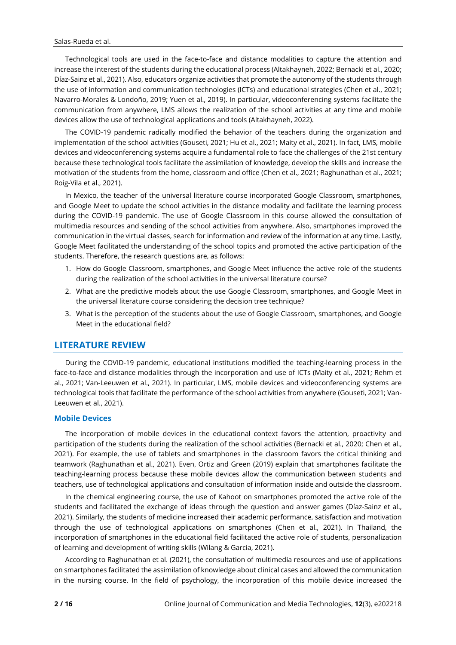Technological tools are used in the face-to-face and distance modalities to capture the attention and increase the interest of the students during the educational process (Altakhayneh, 2022; Bernacki et al., 2020; Díaz-Sainz et al., 2021). Also, educators organize activities that promote the autonomy of the students through the use of information and communication technologies (ICTs) and educational strategies (Chen et al., 2021; Navarro-Morales & Londoño, 2019; Yuen et al., 2019). In particular, videoconferencing systems facilitate the communication from anywhere, LMS allows the realization of the school activities at any time and mobile devices allow the use of technological applications and tools (Altakhayneh, 2022).

The COVID-19 pandemic radically modified the behavior of the teachers during the organization and implementation of the school activities (Gouseti, 2021; Hu et al., 2021; Maity et al., 2021). In fact, LMS, mobile devices and videoconferencing systems acquire a fundamental role to face the challenges of the 21st century because these technological tools facilitate the assimilation of knowledge, develop the skills and increase the motivation of the students from the home, classroom and office (Chen et al., 2021; Raghunathan et al., 2021; Roig-Vila et al., 2021).

In Mexico, the teacher of the universal literature course incorporated Google Classroom, smartphones, and Google Meet to update the school activities in the distance modality and facilitate the learning process during the COVID-19 pandemic. The use of Google Classroom in this course allowed the consultation of multimedia resources and sending of the school activities from anywhere. Also, smartphones improved the communication in the virtual classes, search for information and review of the information at any time. Lastly, Google Meet facilitated the understanding of the school topics and promoted the active participation of the students. Therefore, the research questions are, as follows:

- 1. How do Google Classroom, smartphones, and Google Meet influence the active role of the students during the realization of the school activities in the universal literature course?
- 2. What are the predictive models about the use Google Classroom, smartphones, and Google Meet in the universal literature course considering the decision tree technique?
- 3. What is the perception of the students about the use of Google Classroom, smartphones, and Google Meet in the educational field?

# **LITERATURE REVIEW**

During the COVID-19 pandemic, educational institutions modified the teaching-learning process in the face-to-face and distance modalities through the incorporation and use of ICTs (Maity et al., 2021; Rehm et al., 2021; Van-Leeuwen et al., 2021). In particular, LMS, mobile devices and videoconferencing systems are technological tools that facilitate the performance of the school activities from anywhere (Gouseti, 2021; Van-Leeuwen et al., 2021).

## **Mobile Devices**

The incorporation of mobile devices in the educational context favors the attention, proactivity and participation of the students during the realization of the school activities (Bernacki et al., 2020; Chen et al., 2021). For example, the use of tablets and smartphones in the classroom favors the critical thinking and teamwork (Raghunathan et al., 2021). Even, Ortiz and Green (2019) explain that smartphones facilitate the teaching-learning process because these mobile devices allow the communication between students and teachers, use of technological applications and consultation of information inside and outside the classroom.

In the chemical engineering course, the use of Kahoot on smartphones promoted the active role of the students and facilitated the exchange of ideas through the question and answer games (Díaz-Sainz et al., 2021). Similarly, the students of medicine increased their academic performance, satisfaction and motivation through the use of technological applications on smartphones (Chen et al., 2021). In Thailand, the incorporation of smartphones in the educational field facilitated the active role of students, personalization of learning and development of writing skills (Wilang & Garcia, 2021).

According to Raghunathan et al. (2021), the consultation of multimedia resources and use of applications on smartphones facilitated the assimilation of knowledge about clinical cases and allowed the communication in the nursing course. In the field of psychology, the incorporation of this mobile device increased the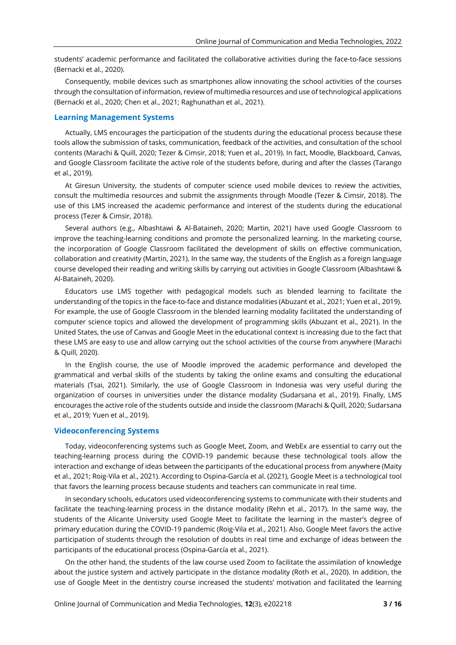students' academic performance and facilitated the collaborative activities during the face-to-face sessions (Bernacki et al., 2020).

Consequently, mobile devices such as smartphones allow innovating the school activities of the courses through the consultation of information, review of multimedia resources and use of technological applications (Bernacki et al., 2020; Chen et al., 2021; Raghunathan et al., 2021).

#### **Learning Management Systems**

Actually, LMS encourages the participation of the students during the educational process because these tools allow the submission of tasks, communication, feedback of the activities, and consultation of the school contents (Marachi & Quill, 2020; Tezer & Cimsir, 2018; Yuen et al., 2019). In fact, Moodle, Blackboard, Canvas, and Google Classroom facilitate the active role of the students before, during and after the classes (Tarango et al., 2019).

At Giresun University, the students of computer science used mobile devices to review the activities, consult the multimedia resources and submit the assignments through Moodle (Tezer & Cimsir, 2018). The use of this LMS increased the academic performance and interest of the students during the educational process (Tezer & Cimsir, 2018).

Several authors (e.g., Albashtawi & Al-Bataineh, 2020; Martin, 2021) have used Google Classroom to improve the teaching-learning conditions and promote the personalized learning. In the marketing course, the incorporation of Google Classroom facilitated the development of skills on effective communication, collaboration and creativity (Martin, 2021). In the same way, the students of the English as a foreign language course developed their reading and writing skills by carrying out activities in Google Classroom (Albashtawi & Al-Bataineh, 2020).

Educators use LMS together with pedagogical models such as blended learning to facilitate the understanding of the topics in the face-to-face and distance modalities (Abuzant et al., 2021; Yuen et al., 2019). For example, the use of Google Classroom in the blended learning modality facilitated the understanding of computer science topics and allowed the development of programming skills (Abuzant et al., 2021). In the United States, the use of Canvas and Google Meet in the educational context is increasing due to the fact that these LMS are easy to use and allow carrying out the school activities of the course from anywhere (Marachi & Quill, 2020).

In the English course, the use of Moodle improved the academic performance and developed the grammatical and verbal skills of the students by taking the online exams and consulting the educational materials (Tsai, 2021). Similarly, the use of Google Classroom in Indonesia was very useful during the organization of courses in universities under the distance modality (Sudarsana et al., 2019). Finally, LMS encourages the active role of the students outside and inside the classroom (Marachi & Quill, 2020; Sudarsana et al., 2019; Yuen et al., 2019).

## **Videoconferencing Systems**

Today, videoconferencing systems such as Google Meet, Zoom, and WebEx are essential to carry out the teaching-learning process during the COVID-19 pandemic because these technological tools allow the interaction and exchange of ideas between the participants of the educational process from anywhere (Maity et al., 2021; Roig-Vila et al., 2021). According to Ospina-García et al. (2021), Google Meet is a technological tool that favors the learning process because students and teachers can communicate in real time.

In secondary schools, educators used videoconferencing systems to communicate with their students and facilitate the teaching-learning process in the distance modality (Rehn et al., 2017). In the same way, the students of the Alicante University used Google Meet to facilitate the learning in the master's degree of primary education during the COVID-19 pandemic (Roig-Vila et al., 2021). Also, Google Meet favors the active participation of students through the resolution of doubts in real time and exchange of ideas between the participants of the educational process (Ospina-García et al., 2021).

On the other hand, the students of the law course used Zoom to facilitate the assimilation of knowledge about the justice system and actively participate in the distance modality (Roth et al., 2020). In addition, the use of Google Meet in the dentistry course increased the students' motivation and facilitated the learning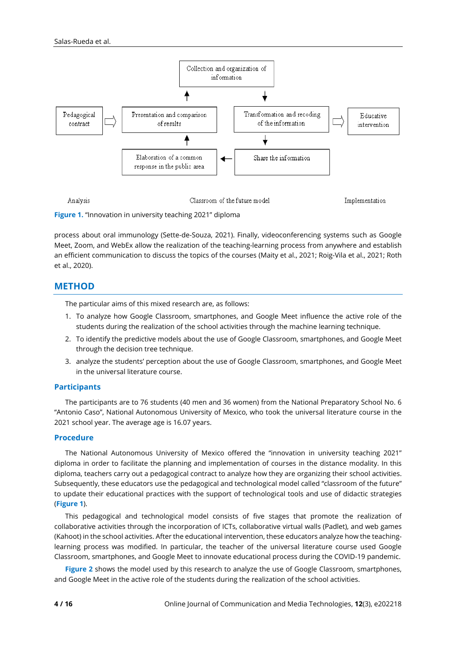

**Figure 1.** "Innovation in university teaching 2021" diploma

process about oral immunology (Sette-de-Souza, 2021). Finally, videoconferencing systems such as Google Meet, Zoom, and WebEx allow the realization of the teaching-learning process from anywhere and establish an efficient communication to discuss the topics of the courses (Maity et al., 2021; Roig-Vila et al., 2021; Roth et al., 2020).

# **METHOD**

The particular aims of this mixed research are, as follows:

- 1. To analyze how Google Classroom, smartphones, and Google Meet influence the active role of the students during the realization of the school activities through the machine learning technique.
- 2. To identify the predictive models about the use of Google Classroom, smartphones, and Google Meet through the decision tree technique.
- 3. analyze the students' perception about the use of Google Classroom, smartphones, and Google Meet in the universal literature course.

# **Participants**

The participants are to 76 students (40 men and 36 women) from the National Preparatory School No. 6 "Antonio Caso", National Autonomous University of Mexico, who took the universal literature course in the 2021 school year. The average age is 16.07 years.

# **Procedure**

The National Autonomous University of Mexico offered the "innovation in university teaching 2021" diploma in order to facilitate the planning and implementation of courses in the distance modality. In this diploma, teachers carry out a pedagogical contract to analyze how they are organizing their school activities. Subsequently, these educators use the pedagogical and technological model called "classroom of the future" to update their educational practices with the support of technological tools and use of didactic strategies (**Figure 1**).

This pedagogical and technological model consists of five stages that promote the realization of collaborative activities through the incorporation of ICTs, collaborative virtual walls (Padlet), and web games (Kahoot) in the school activities. After the educational intervention, these educators analyze how the teachinglearning process was modified. In particular, the teacher of the universal literature course used Google Classroom, smartphones, and Google Meet to innovate educational process during the COVID-19 pandemic.

**Figure** 2 shows the model used by this research to analyze the use of Google Classroom, smartphones, and Google Meet in the active role of the students during the realization of the school activities.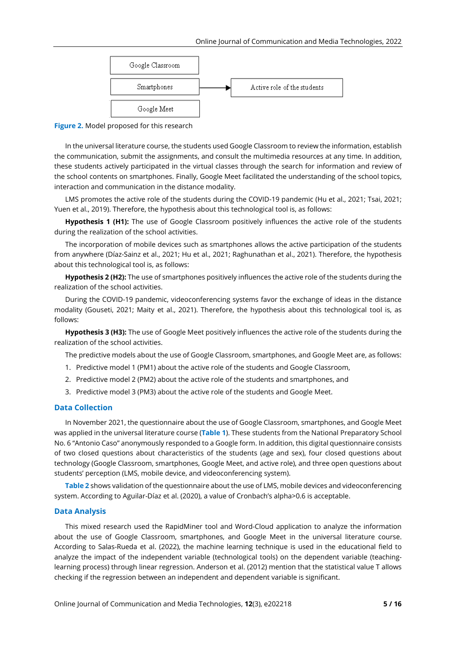

**Figure 2.** Model proposed for this research

In the universal literature course, the students used Google Classroom to review the information, establish the communication, submit the assignments, and consult the multimedia resources at any time. In addition, these students actively participated in the virtual classes through the search for information and review of the school contents on smartphones. Finally, Google Meet facilitated the understanding of the school topics, interaction and communication in the distance modality.

LMS promotes the active role of the students during the COVID-19 pandemic (Hu et al., 2021; Tsai, 2021; Yuen et al., 2019). Therefore, the hypothesis about this technological tool is, as follows:

**Hypothesis 1 (H1):** The use of Google Classroom positively influences the active role of the students during the realization of the school activities.

The incorporation of mobile devices such as smartphones allows the active participation of the students from anywhere (Díaz-Sainz et al., 2021; Hu et al., 2021; Raghunathan et al., 2021). Therefore, the hypothesis about this technological tool is, as follows:

**Hypothesis 2 (H2):** The use of smartphones positively influences the active role of the students during the realization of the school activities.

During the COVID-19 pandemic, videoconferencing systems favor the exchange of ideas in the distance modality (Gouseti, 2021; Maity et al., 2021). Therefore, the hypothesis about this technological tool is, as follows:

**Hypothesis 3 (H3):** The use of Google Meet positively influences the active role of the students during the realization of the school activities.

The predictive models about the use of Google Classroom, smartphones, and Google Meet are, as follows:

- 1. Predictive model 1 (PM1) about the active role of the students and Google Classroom,
- 2. Predictive model 2 (PM2) about the active role of the students and smartphones, and
- 3. Predictive model 3 (PM3) about the active role of the students and Google Meet.

#### **Data Collection**

In November 2021, the questionnaire about the use of Google Classroom, smartphones, and Google Meet was applied in the universal literature course (**Table 1**). These students from the National Preparatory School No. 6 "Antonio Caso" anonymously responded to a Google form. In addition, this digital questionnaire consists of two closed questions about characteristics of the students (age and sex), four closed questions about technology (Google Classroom, smartphones, Google Meet, and active role), and three open questions about students' perception (LMS, mobile device, and videoconferencing system).

**Table 2** shows validation of the questionnaire about the use of LMS, mobile devices and videoconferencing system. According to Aguilar-Díaz et al. (2020), a value of Cronbach's alpha>0.6 is acceptable.

#### **Data Analysis**

This mixed research used the RapidMiner tool and Word-Cloud application to analyze the information about the use of Google Classroom, smartphones, and Google Meet in the universal literature course. According to Salas-Rueda et al. (2022), the machine learning technique is used in the educational field to analyze the impact of the independent variable (technological tools) on the dependent variable (teachinglearning process) through linear regression. Anderson et al. (2012) mention that the statistical value T allows checking if the regression between an independent and dependent variable is significant.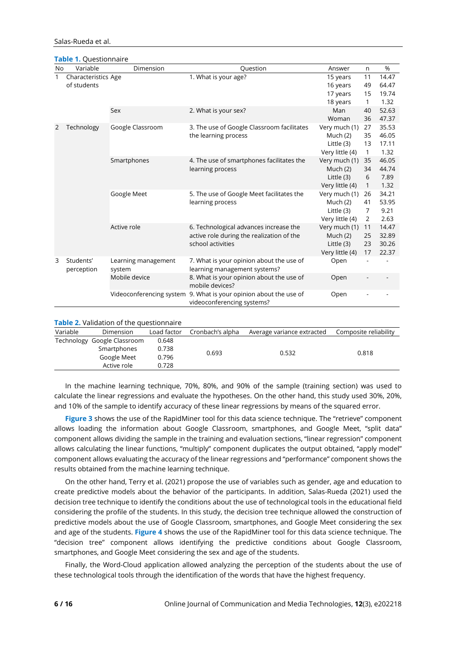#### Salas-Rueda et al.

**Table 1.** Questionnaire

| No                          | Variable            | Dimension            | Question                                                          | Answer          | n            | %             |
|-----------------------------|---------------------|----------------------|-------------------------------------------------------------------|-----------------|--------------|---------------|
| $\mathbf{1}$<br>of students | Characteristics Age |                      | 1. What is your age?                                              | 15 years        | 11           | 14.47         |
|                             |                     |                      |                                                                   | 16 years        | 49           | 64.47         |
|                             |                     |                      | 17 years                                                          | 15              | 19.74        |               |
|                             |                     |                      |                                                                   | 18 years        | $\mathbf{1}$ | 1.32          |
|                             |                     | Sex                  | 2. What is your sex?                                              | Man             | 40           | 52.63         |
|                             |                     |                      |                                                                   | Woman           | 36           | 47.37         |
| 2                           | Technology          | Google Classroom     | 3. The use of Google Classroom facilitates                        | Very much (1)   | 27           | 35.53         |
|                             |                     | the learning process | Much $(2)$                                                        | 35              | 46.05        |               |
|                             |                     |                      | Little (3)                                                        | 13              | 17.11        |               |
|                             |                     |                      |                                                                   | Very little (4) | $\mathbf{1}$ | 1.32          |
|                             |                     | Smartphones          | 4. The use of smartphones facilitates the                         | Very much (1)   | 35           | 46.05         |
|                             |                     |                      | learning process                                                  | Much $(2)$      | 34           | 44.74         |
|                             |                     |                      |                                                                   | Little (3)      | 6            | 7.89          |
|                             |                     |                      |                                                                   | Very little (4) | $\mathbf{1}$ | 1.32          |
|                             |                     | Google Meet          | 5. The use of Google Meet facilitates the                         | Very much (1)   | 26           | 34.21         |
|                             |                     |                      | learning process                                                  | Much $(2)$      | 41           | 53.95<br>9.21 |
|                             |                     |                      | Little (3)<br>Very little (4)                                     | 7<br>2          | 2.63         |               |
|                             |                     | Active role          | 6. Technological advances increase the                            | Very much (1)   | 11           | 14.47         |
|                             |                     |                      | active role during the realization of the                         | Much $(2)$      | 25           | 32.89         |
|                             |                     |                      | school activities                                                 | Little (3)      | 23           | 30.26         |
|                             |                     |                      |                                                                   | Very little (4) | 17           | 22.37         |
| 3                           | Students'           | Learning management  | 7. What is your opinion about the use of                          | Open            |              |               |
|                             | perception          | system               | learning management systems?                                      |                 |              |               |
|                             |                     | Mobile device        | 8. What is your opinion about the use of                          | Open            |              |               |
|                             |                     |                      | mobile devices?                                                   |                 |              |               |
|                             |                     |                      | Videoconferencing system 9. What is your opinion about the use of | Open            |              |               |
|                             |                     |                      | videoconferencing systems?                                        |                 |              |               |
|                             |                     |                      |                                                                   |                 |              |               |

|          | <b>Table 2.</b> Validation of the questionnaire |             |                  |                            |                       |
|----------|-------------------------------------------------|-------------|------------------|----------------------------|-----------------------|
| Variable | Dimension                                       | Load factor | Cronbach's alpha | Average variance extracted | Composite reliability |
|          | Technology Google Classroom                     | 0.648       |                  |                            |                       |
|          | Smartphones                                     | 0.738       | 0.693            | 0.532                      | 0.818                 |
|          | Google Meet                                     | 0.796       |                  |                            |                       |
|          | Active role                                     | 0.728       |                  |                            |                       |
|          |                                                 |             |                  |                            |                       |

In the machine learning technique, 70%, 80%, and 90% of the sample (training section) was used to calculate the linear regressions and evaluate the hypotheses. On the other hand, this study used 30%, 20%, and 10% of the sample to identify accuracy of these linear regressions by means of the squared error.

**Figure 3** shows the use of the RapidMiner tool for this data science technique. The "retrieve" component allows loading the information about Google Classroom, smartphones, and Google Meet, "split data" component allows dividing the sample in the training and evaluation sections, "linear regression" component allows calculating the linear functions, "multiply" component duplicates the output obtained, "apply model" component allows evaluating the accuracy of the linear regressions and "performance" component shows the results obtained from the machine learning technique.

On the other hand, Terry et al. (2021) propose the use of variables such as gender, age and education to create predictive models about the behavior of the participants. In addition, Salas-Rueda (2021) used the decision tree technique to identify the conditions about the use of technological tools in the educational field considering the profile of the students. In this study, the decision tree technique allowed the construction of predictive models about the use of Google Classroom, smartphones, and Google Meet considering the sex and age of the students. **Figure 4** shows the use of the RapidMiner tool for this data science technique. The "decision tree" component allows identifying the predictive conditions about Google Classroom, smartphones, and Google Meet considering the sex and age of the students.

Finally, the Word-Cloud application allowed analyzing the perception of the students about the use of these technological tools through the identification of the words that have the highest frequency.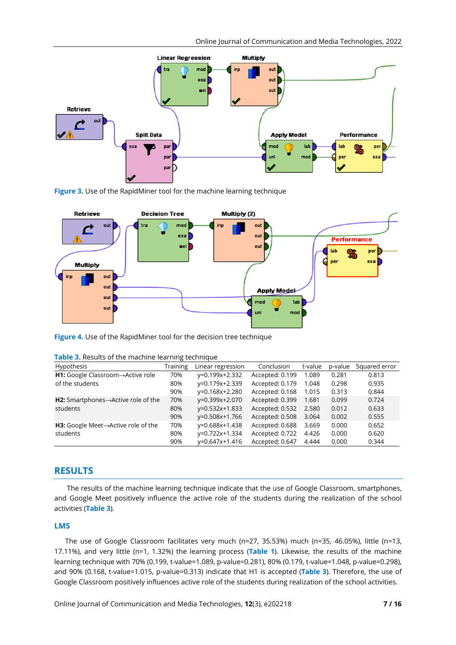

**Figure 3.** Use of the RapidMiner tool for the machine learning technique



**Figure 4.** Use of the RapidMiner tool for the decision tree technique

| Table 3. Results of the machine learning technique |  |  |  |
|----------------------------------------------------|--|--|--|
|                                                    |  |  |  |

| Hypothesis                                              | Training | Linear regression    | Conclusion      | t-value | p-value | Squared error |
|---------------------------------------------------------|----------|----------------------|-----------------|---------|---------|---------------|
| <b>H1:</b> Google Classroom→Active role                 | 70%      | y=0.199x+2.332       | Accepted: 0.199 | 1.089   | 0.281   | 0.813         |
| of the students                                         | 80%      | y=0.179x+2.339       | Accepted: 0.179 | 1.048   | 0.298   | 0.935         |
|                                                         | 90%      | y=0.168x+2.280       | Accepted: 0.168 | 1.015   | 0.313   | 0.844         |
| <b>H2:</b> Smartphones $\rightarrow$ Active role of the | 70%      | y=0.399x+2.070       | Accepted: 0.399 | 1.681   | 0.099   | 0.724         |
| students                                                | 80%      | $v=0.532x+1.833$     | Accepted: 0.532 | 2.580   | 0.012   | 0.633         |
|                                                         | 90%      | y=0.508x+1.766       | Accepted: 0.508 | 3.064   | 0.002   | 0.555         |
| <b>H3:</b> Google Meet $\rightarrow$ Active role of the | 70%      | y=0.688x+1.438       | Accepted: 0.688 | 3.669   | 0.000   | 0.652         |
| students                                                | 80%      | y=0.722x+1.334       | Accepted: 0.722 | 4.426   | 0.000   | 0.620         |
|                                                         | 90%      | $v = 0.647x + 1.416$ | Accepted: 0.647 | 4.444   | 0.000   | 0.344         |

# **RESULTS**

The results of the machine learning technique indicate that the use of Google Classroom, smartphones, and Google Meet positively influence the active role of the students during the realization of the school activities (**Table 3**).

## **LMS**

The use of Google Classroom facilitates very much (n=27, 35.53%) much (n=35, 46.05%), little (n=13, 17.11%), and very little (n=1, 1.32%) the learning process (**Table 1**). Likewise, the results of the machine learning technique with 70% (0.199, t-value=1.089, p-value=0.281), 80% (0.179, t-value=1.048, p-value=0.298), and 90% (0.168, t-value=1.015, p-value=0.313) indicate that H1 is accepted (**Table 3**). Therefore, the use of Google Classroom positively influences active role of the students during realization of the school activities.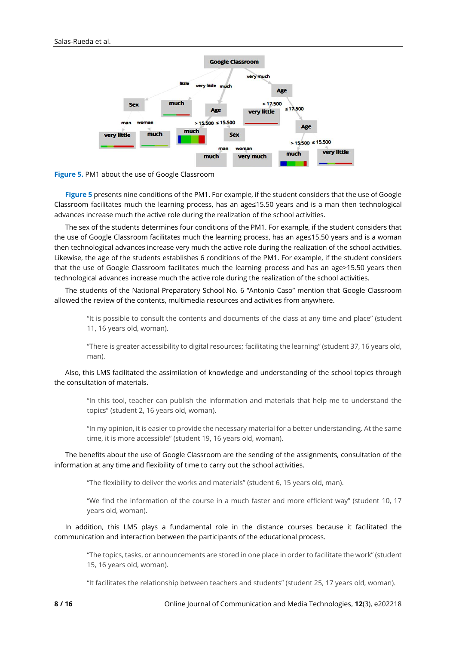



**Figure 5** presents nine conditions of the PM1. For example, if the student considers that the use of Google Classroom facilitates much the learning process, has an age≤15.50 years and is a man then technological advances increase much the active role during the realization of the school activities.

The sex of the students determines four conditions of the PM1. For example, if the student considers that the use of Google Classroom facilitates much the learning process, has an age≤15.50 years and is a woman then technological advances increase very much the active role during the realization of the school activities. Likewise, the age of the students establishes 6 conditions of the PM1. For example, if the student considers that the use of Google Classroom facilitates much the learning process and has an age>15.50 years then technological advances increase much the active role during the realization of the school activities.

The students of the National Preparatory School No. 6 "Antonio Caso" mention that Google Classroom allowed the review of the contents, multimedia resources and activities from anywhere.

"It is possible to consult the contents and documents of the class at any time and place" (student 11, 16 years old, woman).

"There is greater accessibility to digital resources; facilitating the learning" (student 37, 16 years old, man).

Also, this LMS facilitated the assimilation of knowledge and understanding of the school topics through the consultation of materials.

"In this tool, teacher can publish the information and materials that help me to understand the topics" (student 2, 16 years old, woman).

"In my opinion, it is easier to provide the necessary material for a better understanding. At the same time, it is more accessible" (student 19, 16 years old, woman).

The benefits about the use of Google Classroom are the sending of the assignments, consultation of the information at any time and flexibility of time to carry out the school activities.

"The flexibility to deliver the works and materials" (student 6, 15 years old, man).

"We find the information of the course in a much faster and more efficient way" (student 10, 17 years old, woman).

In addition, this LMS plays a fundamental role in the distance courses because it facilitated the communication and interaction between the participants of the educational process.

"The topics, tasks, or announcements are stored in one place in order to facilitate the work" (student 15, 16 years old, woman).

"It facilitates the relationship between teachers and students" (student 25, 17 years old, woman).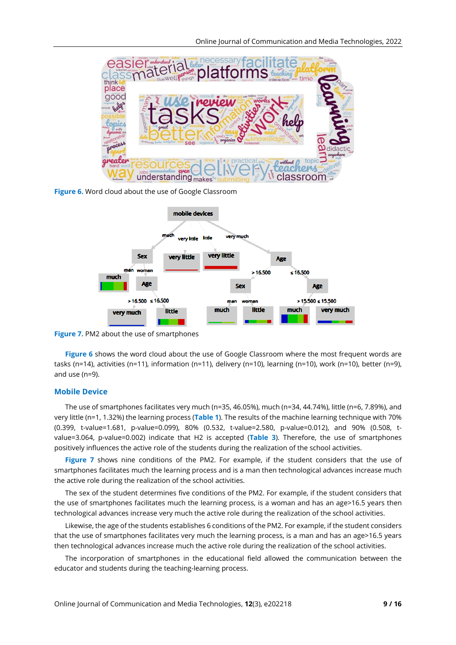

**Figure 6.** Word cloud about the use of Google Classroom



**Figure 7.** PM2 about the use of smartphones

**Figure 6** shows the word cloud about the use of Google Classroom where the most frequent words are tasks (n=14), activities (n=11), information (n=11), delivery (n=10), learning (n=10), work (n=10), better (n=9), and use (n=9).

## **Mobile Device**

The use of smartphones facilitates very much (n=35, 46.05%), much (n=34, 44.74%), little (n=6, 7.89%), and very little (n=1, 1.32%) the learning process (**Table 1**). The results of the machine learning technique with 70% (0.399, t-value=1.681, p-value=0.099), 80% (0.532, t-value=2.580, p-value=0.012), and 90% (0.508, tvalue=3.064, p-value=0.002) indicate that H2 is accepted (**Table 3**). Therefore, the use of smartphones positively influences the active role of the students during the realization of the school activities.

**Figure 7** shows nine conditions of the PM2. For example, if the student considers that the use of smartphones facilitates much the learning process and is a man then technological advances increase much the active role during the realization of the school activities.

The sex of the student determines five conditions of the PM2. For example, if the student considers that the use of smartphones facilitates much the learning process, is a woman and has an age>16.5 years then technological advances increase very much the active role during the realization of the school activities.

Likewise, the age of the students establishes 6 conditions of the PM2. For example, if the student considers that the use of smartphones facilitates very much the learning process, is a man and has an age>16.5 years then technological advances increase much the active role during the realization of the school activities.

The incorporation of smartphones in the educational field allowed the communication between the educator and students during the teaching-learning process.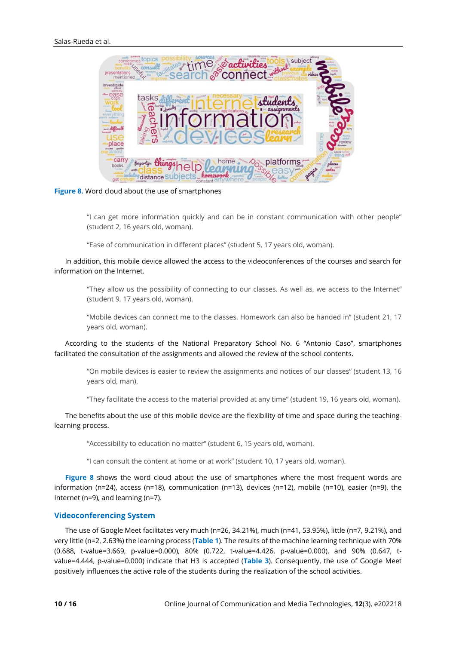

**Figure 8.** Word cloud about the use of smartphones

"I can get more information quickly and can be in constant communication with other people" (student 2, 16 years old, woman).

"Ease of communication in different places" (student 5, 17 years old, woman).

In addition, this mobile device allowed the access to the videoconferences of the courses and search for information on the Internet.

"They allow us the possibility of connecting to our classes. As well as, we access to the Internet" (student 9, 17 years old, woman).

"Mobile devices can connect me to the classes. Homework can also be handed in" (student 21, 17 years old, woman).

According to the students of the National Preparatory School No. 6 "Antonio Caso", smartphones facilitated the consultation of the assignments and allowed the review of the school contents.

"On mobile devices is easier to review the assignments and notices of our classes" (student 13, 16 years old, man).

"They facilitate the access to the material provided at any time" (student 19, 16 years old, woman).

The benefits about the use of this mobile device are the flexibility of time and space during the teachinglearning process.

"Accessibility to education no matter" (student 6, 15 years old, woman).

"I can consult the content at home or at work" (student 10, 17 years old, woman).

**Figure 8** shows the word cloud about the use of smartphones where the most frequent words are information (n=24), access (n=18), communication (n=13), devices (n=12), mobile (n=10), easier (n=9), the Internet (n=9), and learning (n=7).

#### **Videoconferencing System**

The use of Google Meet facilitates very much (n=26, 34.21%), much (n=41, 53.95%), little (n=7, 9.21%), and very little (n=2, 2.63%) the learning process (**Table 1**). The results of the machine learning technique with 70% (0.688, t-value=3.669, p-value=0.000), 80% (0.722, t-value=4.426, p-value=0.000), and 90% (0.647, tvalue=4.444, p-value=0.000) indicate that H3 is accepted (**Table 3**). Consequently, the use of Google Meet positively influences the active role of the students during the realization of the school activities.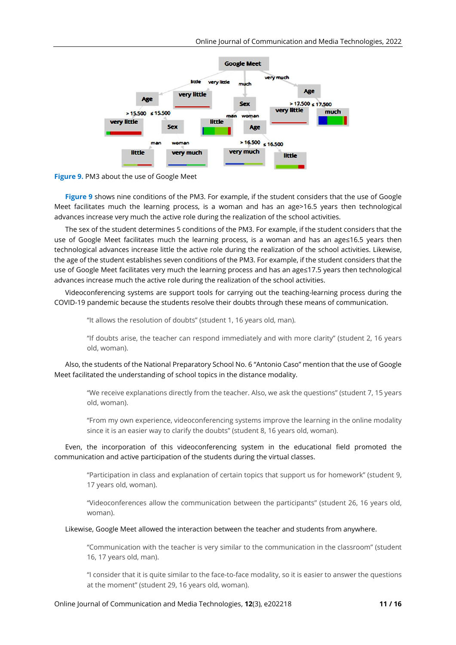



**Figure 9** shows nine conditions of the PM3. For example, if the student considers that the use of Google Meet facilitates much the learning process, is a woman and has an age>16.5 years then technological advances increase very much the active role during the realization of the school activities.

The sex of the student determines 5 conditions of the PM3. For example, if the student considers that the use of Google Meet facilitates much the learning process, is a woman and has an age≤16.5 years then technological advances increase little the active role during the realization of the school activities. Likewise, the age of the student establishes seven conditions of the PM3. For example, if the student considers that the use of Google Meet facilitates very much the learning process and has an age≤17.5 years then technological advances increase much the active role during the realization of the school activities.

Videoconferencing systems are support tools for carrying out the teaching-learning process during the COVID-19 pandemic because the students resolve their doubts through these means of communication.

"It allows the resolution of doubts" (student 1, 16 years old, man).

"If doubts arise, the teacher can respond immediately and with more clarity" (student 2, 16 years old, woman).

Also, the students of the National Preparatory School No. 6 "Antonio Caso" mention that the use of Google Meet facilitated the understanding of school topics in the distance modality.

"We receive explanations directly from the teacher. Also, we ask the questions" (student 7, 15 years old, woman).

"From my own experience, videoconferencing systems improve the learning in the online modality since it is an easier way to clarify the doubts" (student 8, 16 years old, woman).

Even, the incorporation of this videoconferencing system in the educational field promoted the communication and active participation of the students during the virtual classes.

"Participation in class and explanation of certain topics that support us for homework" (student 9, 17 years old, woman).

"Videoconferences allow the communication between the participants" (student 26, 16 years old, woman).

## Likewise, Google Meet allowed the interaction between the teacher and students from anywhere.

"Communication with the teacher is very similar to the communication in the classroom" (student 16, 17 years old, man).

"I consider that it is quite similar to the face-to-face modality, so it is easier to answer the questions at the moment" (student 29, 16 years old, woman).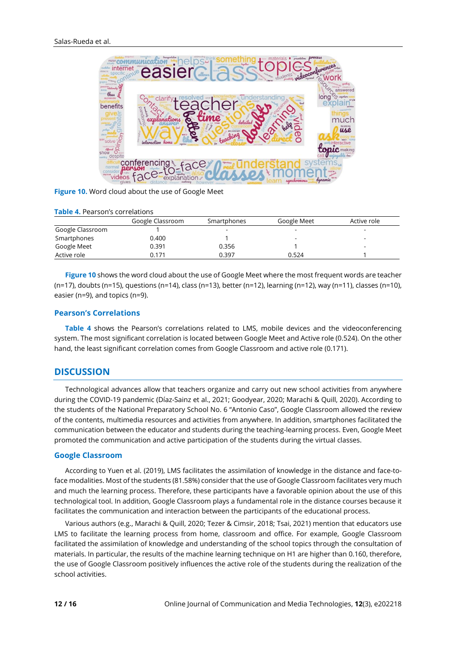

**Figure 10.** Word cloud about the use of Google Meet

|                  | Google Classroom | Smartphones | Google Meet | Active role |
|------------------|------------------|-------------|-------------|-------------|
| Google Classroom |                  |             |             |             |
| Smartphones      | 0.400            |             | -           |             |
| Google Meet      | 0.391            | 0.356       |             |             |
| Active role      | 0.171            | 0.397       | 0.524       |             |

**Figure 10** shows the word cloud about the use of Google Meet where the most frequent words are teacher (n=17), doubts (n=15), questions (n=14), class (n=13), better (n=12), learning (n=12), way (n=11), classes (n=10), easier (n=9), and topics (n=9).

#### **Pearson's Correlations**

**Table 4** shows the Pearson's correlations related to LMS, mobile devices and the videoconferencing system. The most significant correlation is located between Google Meet and Active role (0.524). On the other hand, the least significant correlation comes from Google Classroom and active role (0.171).

# **DISCUSSION**

Technological advances allow that teachers organize and carry out new school activities from anywhere during the COVID-19 pandemic (Díaz-Sainz et al., 2021; Goodyear, 2020; Marachi & Quill, 2020). According to the students of the National Preparatory School No. 6 "Antonio Caso", Google Classroom allowed the review of the contents, multimedia resources and activities from anywhere. In addition, smartphones facilitated the communication between the educator and students during the teaching-learning process. Even, Google Meet promoted the communication and active participation of the students during the virtual classes.

## **Google Classroom**

According to Yuen et al. (2019), LMS facilitates the assimilation of knowledge in the distance and face-toface modalities. Most of the students (81.58%) consider that the use of Google Classroom facilitates very much and much the learning process. Therefore, these participants have a favorable opinion about the use of this technological tool. In addition, Google Classroom plays a fundamental role in the distance courses because it facilitates the communication and interaction between the participants of the educational process.

Various authors (e.g., Marachi & Quill, 2020; Tezer & Cimsir, 2018; Tsai, 2021) mention that educators use LMS to facilitate the learning process from home, classroom and office. For example, Google Classroom facilitated the assimilation of knowledge and understanding of the school topics through the consultation of materials. In particular, the results of the machine learning technique on H1 are higher than 0.160, therefore, the use of Google Classroom positively influences the active role of the students during the realization of the school activities.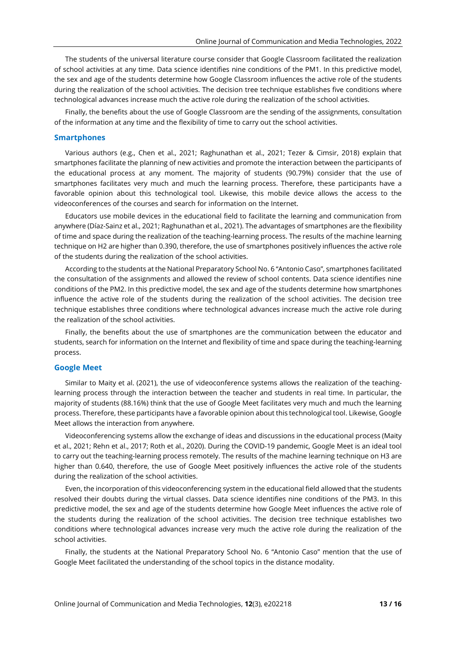The students of the universal literature course consider that Google Classroom facilitated the realization of school activities at any time. Data science identifies nine conditions of the PM1. In this predictive model, the sex and age of the students determine how Google Classroom influences the active role of the students during the realization of the school activities. The decision tree technique establishes five conditions where technological advances increase much the active role during the realization of the school activities.

Finally, the benefits about the use of Google Classroom are the sending of the assignments, consultation of the information at any time and the flexibility of time to carry out the school activities.

#### **Smartphones**

Various authors (e.g., Chen et al., 2021; Raghunathan et al., 2021; Tezer & Cimsir, 2018) explain that smartphones facilitate the planning of new activities and promote the interaction between the participants of the educational process at any moment. The majority of students (90.79%) consider that the use of smartphones facilitates very much and much the learning process. Therefore, these participants have a favorable opinion about this technological tool. Likewise, this mobile device allows the access to the videoconferences of the courses and search for information on the Internet.

Educators use mobile devices in the educational field to facilitate the learning and communication from anywhere (Díaz-Sainz et al., 2021; Raghunathan et al., 2021). The advantages of smartphones are the flexibility of time and space during the realization of the teaching-learning process. The results of the machine learning technique on H2 are higher than 0.390, therefore, the use of smartphones positively influences the active role of the students during the realization of the school activities.

According to the students at the National Preparatory School No. 6 "Antonio Caso", smartphones facilitated the consultation of the assignments and allowed the review of school contents. Data science identifies nine conditions of the PM2. In this predictive model, the sex and age of the students determine how smartphones influence the active role of the students during the realization of the school activities. The decision tree technique establishes three conditions where technological advances increase much the active role during the realization of the school activities.

Finally, the benefits about the use of smartphones are the communication between the educator and students, search for information on the Internet and flexibility of time and space during the teaching-learning process.

#### **Google Meet**

Similar to Maity et al. (2021), the use of videoconference systems allows the realization of the teachinglearning process through the interaction between the teacher and students in real time. In particular, the majority of students (88.16%) think that the use of Google Meet facilitates very much and much the learning process. Therefore, these participants have a favorable opinion about this technological tool. Likewise, Google Meet allows the interaction from anywhere.

Videoconferencing systems allow the exchange of ideas and discussions in the educational process (Maity et al., 2021; Rehn et al., 2017; Roth et al., 2020). During the COVID-19 pandemic, Google Meet is an ideal tool to carry out the teaching-learning process remotely. The results of the machine learning technique on H3 are higher than 0.640, therefore, the use of Google Meet positively influences the active role of the students during the realization of the school activities.

Even, the incorporation of this videoconferencing system in the educational field allowed that the students resolved their doubts during the virtual classes. Data science identifies nine conditions of the PM3. In this predictive model, the sex and age of the students determine how Google Meet influences the active role of the students during the realization of the school activities. The decision tree technique establishes two conditions where technological advances increase very much the active role during the realization of the school activities.

Finally, the students at the National Preparatory School No. 6 "Antonio Caso" mention that the use of Google Meet facilitated the understanding of the school topics in the distance modality.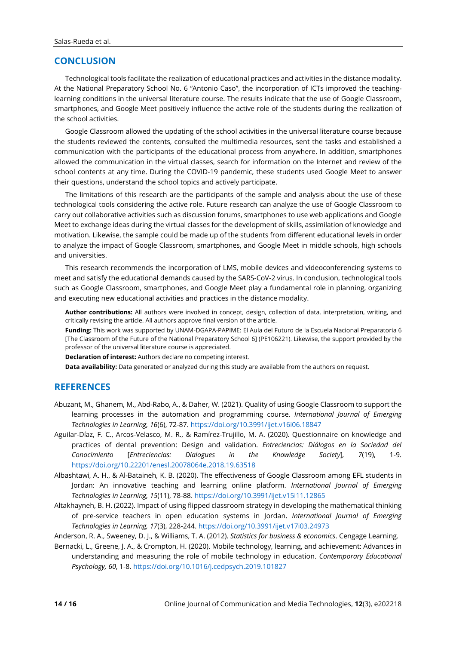# **CONCLUSION**

Technological tools facilitate the realization of educational practices and activities in the distance modality. At the National Preparatory School No. 6 "Antonio Caso", the incorporation of ICTs improved the teachinglearning conditions in the universal literature course. The results indicate that the use of Google Classroom, smartphones, and Google Meet positively influence the active role of the students during the realization of the school activities.

Google Classroom allowed the updating of the school activities in the universal literature course because the students reviewed the contents, consulted the multimedia resources, sent the tasks and established a communication with the participants of the educational process from anywhere. In addition, smartphones allowed the communication in the virtual classes, search for information on the Internet and review of the school contents at any time. During the COVID-19 pandemic, these students used Google Meet to answer their questions, understand the school topics and actively participate.

The limitations of this research are the participants of the sample and analysis about the use of these technological tools considering the active role. Future research can analyze the use of Google Classroom to carry out collaborative activities such as discussion forums, smartphones to use web applications and Google Meet to exchange ideas during the virtual classes for the development of skills, assimilation of knowledge and motivation. Likewise, the sample could be made up of the students from different educational levels in order to analyze the impact of Google Classroom, smartphones, and Google Meet in middle schools, high schools and universities.

This research recommends the incorporation of LMS, mobile devices and videoconferencing systems to meet and satisfy the educational demands caused by the SARS-CoV-2 virus. In conclusion, technological tools such as Google Classroom, smartphones, and Google Meet play a fundamental role in planning, organizing and executing new educational activities and practices in the distance modality.

**Author contributions:** All authors were involved in concept, design, collection of data, interpretation, writing, and critically revising the article. All authors approve final version of the article.

**Funding:** This work was supported by UNAM-DGAPA-PAPIME: El Aula del Futuro de la Escuela Nacional Preparatoria 6 [The Classroom of the Future of the National Preparatory School 6] (PE106221). Likewise, the support provided by the professor of the universal literature course is appreciated.

**Declaration of interest:** Authors declare no competing interest.

**Data availability:** Data generated or analyzed during this study are available from the authors on request.

# **REFERENCES**

- Abuzant, M., Ghanem, M., Abd-Rabo, A., & Daher, W. (2021). Quality of using Google Classroom to support the learning processes in the automation and programming course. *International Journal of Emerging Technologies in Learning, 16*(6), 72-87. <https://doi.org/10.3991/ijet.v16i06.18847>
- Aguilar-Díaz, F. C., Arcos-Velasco, M. R., & Ramírez-Trujillo, M. A. (2020). Questionnaire on knowledge and practices of dental prevention: Design and validation. *Entreciencias: Diálogos en la Sociedad del Conocimiento* [*Entreciencias: Dialogues in the Knowledge Society*]*, 7*(19), 1-9. <https://doi.org/10.22201/enesl.20078064e.2018.19.63518>
- Albashtawi, A. H., & Al-Bataineh, K. B. (2020). The effectiveness of Google Classroom among EFL students in Jordan: An innovative teaching and learning online platform. *International Journal of Emerging Technologies in Learning, 15*(11), 78-88. <https://doi.org/10.3991/ijet.v15i11.12865>
- Altakhayneh, B. H. (2022). Impact of using flipped classroom strategy in developing the mathematical thinking of pre-service teachers in open education systems in Jordan. *International Journal of Emerging Technologies in Learning, 17*(3), 228-244. <https://doi.org/10.3991/ijet.v17i03.24973>

Anderson, R. A., Sweeney, D. J., & Williams, T. A. (2012). *Statistics for business & economics*. Cengage Learning.

Bernacki, L., Greene, J. A., & Crompton, H. (2020). Mobile technology, learning, and achievement: Advances in understanding and measuring the role of mobile technology in education. *Contemporary Educational Psychology, 60*, 1-8. <https://doi.org/10.1016/j.cedpsych.2019.101827>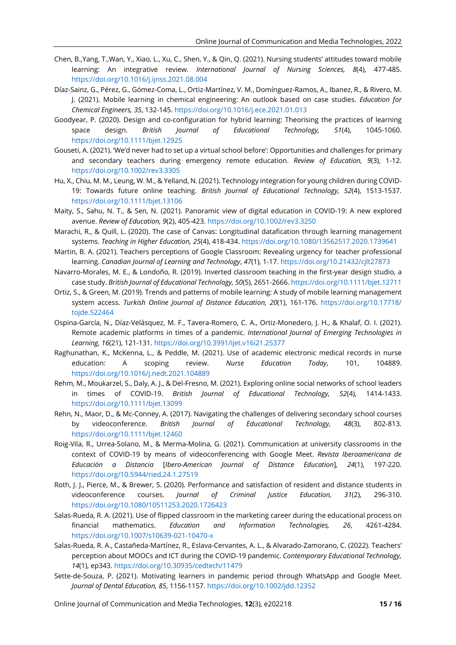- Chen, B.,Yang, T.,Wan, Y., Xiao, L., Xu, C., Shen, Y., & Qin, Q. (2021). Nursing students' attitudes toward mobile learning: An integrative review. *International Journal of Nursing Sciences, 8*(4), 477-485. <https://doi.org/10.1016/j.ijnss.2021.08.004>
- Díaz-Sainz, G., Pérez, G., Gómez-Coma, L., Ortiz-Martínez, V. M., Domínguez-Ramos, A., Ibanez, R., & Rivero, M. J. (2021). Mobile learning in chemical engineering: An outlook based on case studies. *Education for Chemical Engineers, 35*, 132-145. <https://doi.org/10.1016/j.ece.2021.01.013>
- Goodyear, P. (2020). Design and co-configuration for hybrid learning: Theorising the practices of learning space design. *British Journal of Educational Technology, 51*(4), 1045-1060. <https://doi.org/10.1111/bjet.12925>
- Gouseti, A. (2021). 'We'd never had to set up a virtual school before': Opportunities and challenges for primary and secondary teachers during emergency remote education. *Review of Education, 9*(3), 1-12. <https://doi.org/10.1002/rev3.3305>
- Hu, X., Chiu, M. M., Leung, W. M., & Yelland, N. (2021). Technology integration for young children during COVID-19: Towards future online teaching. *British Journal of Educational Technology, 52*(4), 1513-1537. <https://doi.org/10.1111/bjet.13106>
- Maity, S., Sahu, N. T., & Sen, N. (2021). Panoramic view of digital education in COVID-19: A new explored avenue. *Review of Education, 9*(2), 405-423. <https://doi.org/10.1002/rev3.3250>
- Marachi, R., & Quill, L. (2020). The case of Canvas: Longitudinal datafication through learning management systems. *Teaching in Higher Education, 25*(4), 418-434. <https://doi.org/10.1080/13562517.2020.1739641>
- Martin, B. A. (2021). Teachers perceptions of Google Classroom: Revealing urgency for teacher professional learning. *Canadian Journal of Learning and Technology*, *47*(1), 1-17. <https://doi.org/10.21432/cjlt27873>
- Navarro-Morales, M. E., & Londoño, R. (2019). Inverted classroom teaching in the first-year design studio, a case study. *British Journal of Educational Technology, 50*(5), 2651-2666. <https://doi.org/10.1111/bjet.12711>
- Ortiz, S., & Green, M. (2019). Trends and patterns of mobile learning: A study of mobile learning management system access. *Turkish Online Journal of Distance Education, 20*(1), 161-176. [https://doi.org/10.17718/](https://doi.org/10.17718/tojde.522464) [tojde.522464](https://doi.org/10.17718/tojde.522464)
- Ospina-García, N., Díaz-Velásquez, M. F., Tavera-Romero, C. A., Ortiz-Monedero, J. H., & Khalaf, O. I. (2021). Remote academic platforms in times of a pandemic. *International Journal of Emerging Technologies in Learning, 16*(21), 121-131. <https://doi.org/10.3991/ijet.v16i21.25377>
- Raghunathan, K., McKenna, L., & Peddle, M. (2021). Use of academic electronic medical records in nurse education: A scoping review. *Nurse Education Today*, 101, 104889. <https://doi.org/10.1016/j.nedt.2021.104889>
- Rehm, M., Moukarzel, S., Daly, A. J., & Del-Fresno, M. (2021). Exploring online social networks of school leaders in times of COVID-19. *British Journal of Educational Technology, 52*(4), 1414-1433. <https://doi.org/10.1111/bjet.13099>
- Rehn, N., Maor, D., & Mc-Conney, A. (2017). Navigating the challenges of delivering secondary school courses by videoconference. *British Journal of Educational Technology, 48*(3), 802-813. <https://doi.org/10.1111/bjet.12460>
- Roig-Vila, R., Urrea-Solano, M., & Merma-Molina, G. (2021). Communication at university classrooms in the context of COVID-19 by means of videoconferencing with Google Meet. *Revista Iberoamericana de Educación a Distancia* [*Ibero-American Journal of Distance Education*]*, 24*(1), 197-220. <https://doi.org/10.5944/ried.24.1.27519>
- Roth, J. J., Pierce, M., & Brewer, S. (2020). Performance and satisfaction of resident and distance students in videoconference courses. *Journal of Criminal Justice Education, 31*(2), 296-310. <https://doi.org/10.1080/10511253.2020.1726423>
- Salas-Rueda, R. A. (2021). Use of flipped classroom in the marketing career during the educational process on financial mathematics. *Education and Information Technologies, 26*, 4261-4284. <https://doi.org/10.1007/s10639-021-10470-x>
- Salas-Rueda, R. A., Castañeda-Martínez, R., Eslava-Cervantes, A. L., & Alvarado-Zamorano, C. (2022). Teachers' perception about MOOCs and ICT during the COVID-19 pandemic. *Contemporary Educational Technology, 14*(1), ep343. <https://doi.org/10.30935/cedtech/11479>
- Sette-de-Souza, P. (2021). Motivating learners in pandemic period through WhatsApp and Google Meet. *Journal of Dental Education, 85*, 1156-1157. <https://doi.org/10.1002/jdd.12352>